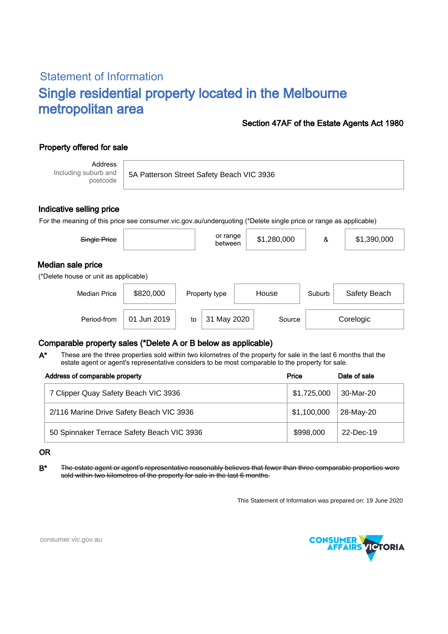# Statement of Information Single residential property located in the Melbourne metropolitan area

#### Section 47AF of the Estate Agents Act 1980

### Property offered for sale

Address Including suburb and postcode

5A Patterson Street Safety Beach VIC 3936

#### Indicative selling price

For the meaning of this price see consumer.vic.gov.au/underquoting (\*Delete single price or range as applicable)

| Single Price                          | or range<br>between | \$1,280,000   | &     | \$1,390,000 |              |  |  |  |  |  |  |  |
|---------------------------------------|---------------------|---------------|-------|-------------|--------------|--|--|--|--|--|--|--|
| Median sale price                     |                     |               |       |             |              |  |  |  |  |  |  |  |
| (*Delete house or unit as applicable) |                     |               |       |             |              |  |  |  |  |  |  |  |
| <b>Median Price</b>                   | \$820,000           | Property type | House | Suburb      | Safety Beach |  |  |  |  |  |  |  |

Period-from | 01 Jun 2019 | to | 31 May 2020 | Source | Corelogic

## Comparable property sales (\*Delete A or B below as applicable)

These are the three properties sold within two kilometres of the property for sale in the last 6 months that the estate agent or agent's representative considers to be most comparable to the property for sale. A\*

| Address of comparable property             | Price       | Date of sale |
|--------------------------------------------|-------------|--------------|
| 7 Clipper Quay Safety Beach VIC 3936       | \$1,725,000 | 30-Mar-20    |
| 2/116 Marine Drive Safety Beach VIC 3936   | \$1,100,000 | 28-May-20    |
| 50 Spinnaker Terrace Safety Beach VIC 3936 | \$998,000   | 22-Dec-19    |

#### OR

B<sup>\*</sup> The estate agent or agent's representative reasonably believes that fewer than three comparable properties were sold within two kilometres of the property for sale in the last 6 months.

This Statement of Information was prepared on: 19 June 2020



consumer.vic.gov.au